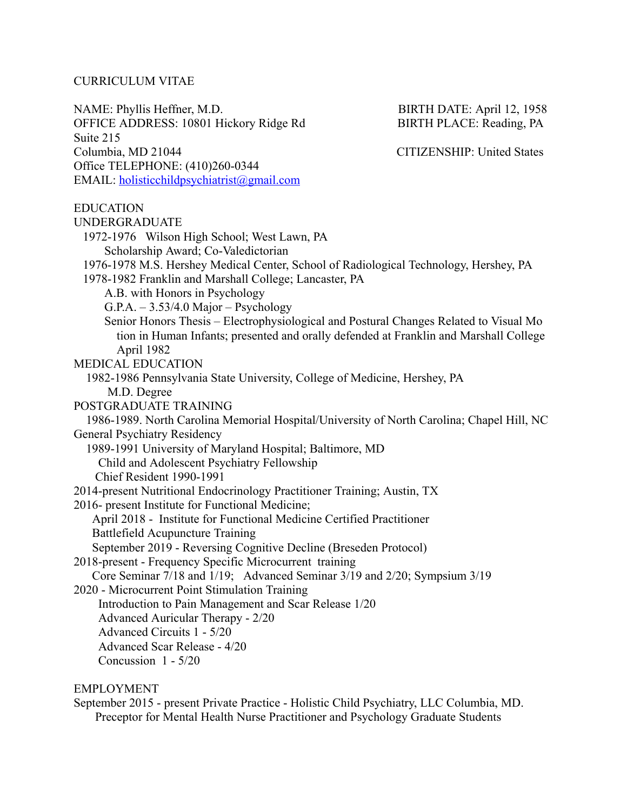#### CURRICULUM VITAE

NAME: Phyllis Heffner, M.D. BIRTH DATE: April 12, 1958 OFFICE ADDRESS: 10801 Hickory Ridge Rd BIRTH PLACE: Reading, PA Suite 215 Columbia, MD 21044 CITIZENSHIP: United States Office TELEPHONE: (410)260-0344 EMAIL: [holisticchildpsychiatrist@gmail.com](mailto:holisticchildpsychiatrist@gmail.com)

EDUCATION UNDERGRADUATE 1972-1976 Wilson High School; West Lawn, PA Scholarship Award; Co-Valedictorian 1976-1978 M.S. Hershey Medical Center, School of Radiological Technology, Hershey, PA 1978-1982 Franklin and Marshall College; Lancaster, PA A.B. with Honors in Psychology  $G.P.A. - 3.53/4.0$  Major – Psychology Senior Honors Thesis – Electrophysiological and Postural Changes Related to Visual Mo tion in Human Infants; presented and orally defended at Franklin and Marshall College April 1982 MEDICAL EDUCATION 1982-1986 Pennsylvania State University, College of Medicine, Hershey, PA M.D. Degree POSTGRADUATE TRAINING 1986-1989. North Carolina Memorial Hospital/University of North Carolina; Chapel Hill, NC General Psychiatry Residency 1989-1991 University of Maryland Hospital; Baltimore, MD Child and Adolescent Psychiatry Fellowship Chief Resident 1990-1991 2014-present Nutritional Endocrinology Practitioner Training; Austin, TX 2016- present Institute for Functional Medicine; April 2018 - Institute for Functional Medicine Certified Practitioner Battlefield Acupuncture Training September 2019 - Reversing Cognitive Decline (Breseden Protocol) 2018-present - Frequency Specific Microcurrent training Core Seminar 7/18 and 1/19; Advanced Seminar 3/19 and 2/20; Sympsium 3/19 2020 - Microcurrent Point Stimulation Training Introduction to Pain Management and Scar Release 1/20 Advanced Auricular Therapy - 2/20 Advanced Circuits 1 - 5/20 Advanced Scar Release - 4/20 Concussion 1 - 5/20

## EMPLOYMENT

September 2015 - present Private Practice - Holistic Child Psychiatry, LLC Columbia, MD. Preceptor for Mental Health Nurse Practitioner and Psychology Graduate Students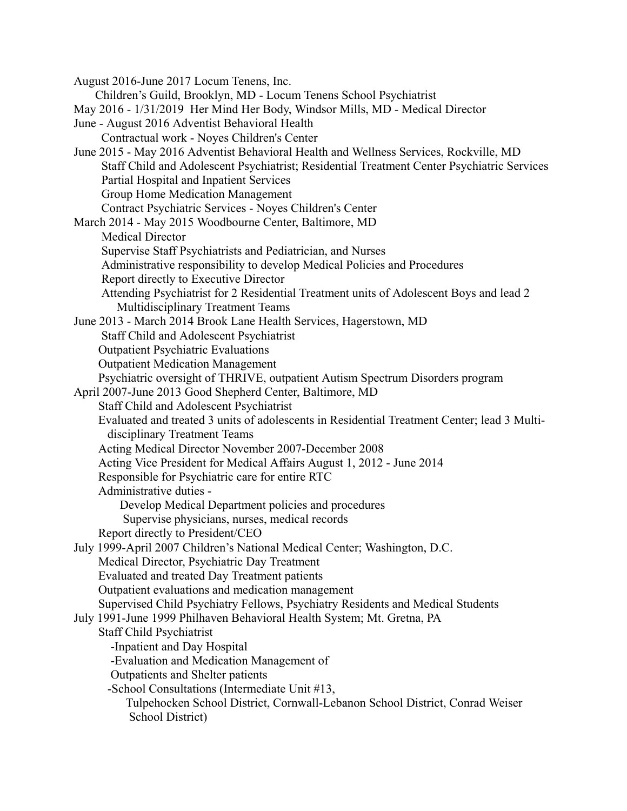August 2016-June 2017 Locum Tenens, Inc. Children's Guild, Brooklyn, MD - Locum Tenens School Psychiatrist May 2016 - 1/31/2019 Her Mind Her Body, Windsor Mills, MD - Medical Director June - August 2016 Adventist Behavioral Health Contractual work - Noyes Children's Center June 2015 - May 2016 Adventist Behavioral Health and Wellness Services, Rockville, MD Staff Child and Adolescent Psychiatrist; Residential Treatment Center Psychiatric Services Partial Hospital and Inpatient Services Group Home Medication Management Contract Psychiatric Services - Noyes Children's Center March 2014 - May 2015 Woodbourne Center, Baltimore, MD Medical Director Supervise Staff Psychiatrists and Pediatrician, and Nurses Administrative responsibility to develop Medical Policies and Procedures Report directly to Executive Director Attending Psychiatrist for 2 Residential Treatment units of Adolescent Boys and lead 2 Multidisciplinary Treatment Teams June 2013 - March 2014 Brook Lane Health Services, Hagerstown, MD Staff Child and Adolescent Psychiatrist Outpatient Psychiatric Evaluations Outpatient Medication Management Psychiatric oversight of THRIVE, outpatient Autism Spectrum Disorders program April 2007-June 2013 Good Shepherd Center, Baltimore, MD Staff Child and Adolescent Psychiatrist Evaluated and treated 3 units of adolescents in Residential Treatment Center; lead 3 Multidisciplinary Treatment Teams Acting Medical Director November 2007-December 2008 Acting Vice President for Medical Affairs August 1, 2012 - June 2014 Responsible for Psychiatric care for entire RTC Administrative duties - Develop Medical Department policies and procedures Supervise physicians, nurses, medical records Report directly to President/CEO July 1999-April 2007 Children's National Medical Center; Washington, D.C. Medical Director, Psychiatric Day Treatment Evaluated and treated Day Treatment patients Outpatient evaluations and medication management Supervised Child Psychiatry Fellows, Psychiatry Residents and Medical Students July 1991-June 1999 Philhaven Behavioral Health System; Mt. Gretna, PA Staff Child Psychiatrist -Inpatient and Day Hospital -Evaluation and Medication Management of Outpatients and Shelter patients -School Consultations (Intermediate Unit #13, Tulpehocken School District, Cornwall-Lebanon School District, Conrad Weiser School District)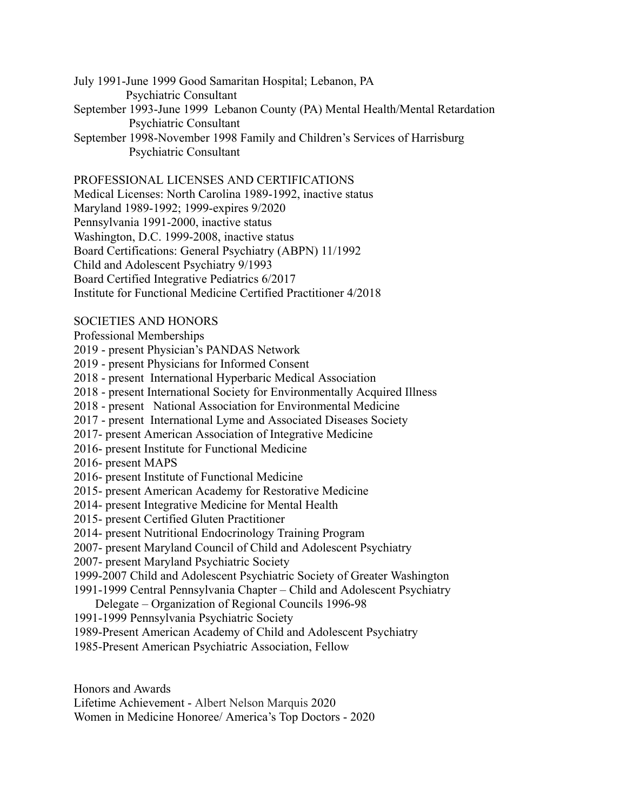July 1991-June 1999 Good Samaritan Hospital; Lebanon, PA

Psychiatric Consultant

- September 1993-June 1999 Lebanon County (PA) Mental Health/Mental Retardation Psychiatric Consultant
- September 1998-November 1998 Family and Children's Services of Harrisburg Psychiatric Consultant

# PROFESSIONAL LICENSES AND CERTIFICATIONS

Medical Licenses: North Carolina 1989-1992, inactive status

Maryland 1989-1992; 1999-expires 9/2020

Pennsylvania 1991-2000, inactive status

Washington, D.C. 1999-2008, inactive status

Board Certifications: General Psychiatry (ABPN) 11/1992

Child and Adolescent Psychiatry 9/1993

Board Certified Integrative Pediatrics 6/2017

Institute for Functional Medicine Certified Practitioner 4/2018

## SOCIETIES AND HONORS

Professional Memberships

- 2019 present Physician's PANDAS Network
- 2019 present Physicians for Informed Consent
- 2018 present International Hyperbaric Medical Association
- 2018 present International Society for Environmentally Acquired Illness
- 2018 present National Association for Environmental Medicine
- 2017 present International Lyme and Associated Diseases Society
- 2017- present American Association of Integrative Medicine
- 2016- present Institute for Functional Medicine
- 2016- present MAPS
- 2016- present Institute of Functional Medicine
- 2015- present American Academy for Restorative Medicine
- 2014- present Integrative Medicine for Mental Health
- 2015- present Certified Gluten Practitioner
- 2014- present Nutritional Endocrinology Training Program
- 2007- present Maryland Council of Child and Adolescent Psychiatry
- 2007- present Maryland Psychiatric Society
- 1999-2007 Child and Adolescent Psychiatric Society of Greater Washington
- 1991-1999 Central Pennsylvania Chapter Child and Adolescent Psychiatry
- Delegate Organization of Regional Councils 1996-98
- 1991-1999 Pennsylvania Psychiatric Society
- 1989-Present American Academy of Child and Adolescent Psychiatry
- 1985-Present American Psychiatric Association, Fellow

Honors and Awards

- Lifetime Achievement Albert Nelson Marquis 2020
- Women in Medicine Honoree/ America's Top Doctors 2020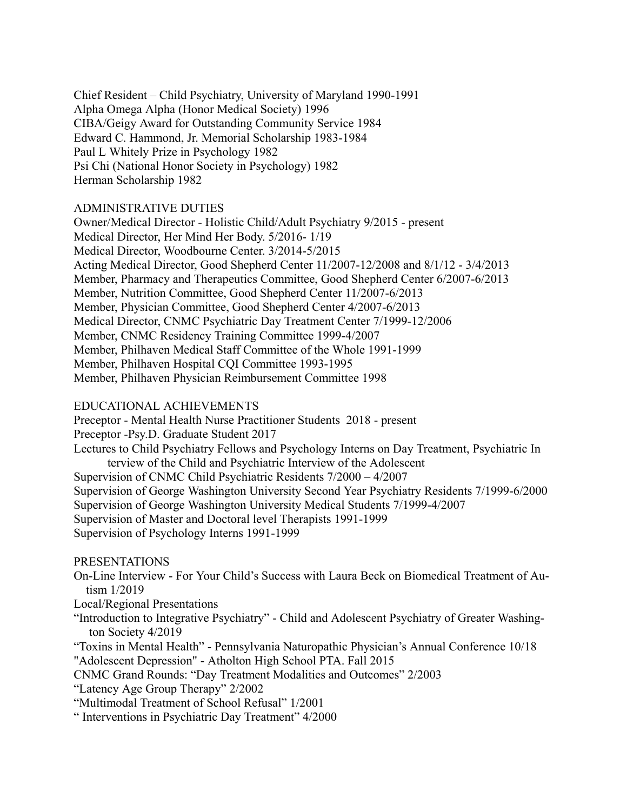Chief Resident – Child Psychiatry, University of Maryland 1990-1991 Alpha Omega Alpha (Honor Medical Society) 1996 CIBA/Geigy Award for Outstanding Community Service 1984 Edward C. Hammond, Jr. Memorial Scholarship 1983-1984 Paul L Whitely Prize in Psychology 1982 Psi Chi (National Honor Society in Psychology) 1982 Herman Scholarship 1982

## ADMINISTRATIVE DUTIES

Owner/Medical Director - Holistic Child/Adult Psychiatry 9/2015 - present Medical Director, Her Mind Her Body. 5/2016- 1/19 Medical Director, Woodbourne Center. 3/2014-5/2015 Acting Medical Director, Good Shepherd Center 11/2007-12/2008 and 8/1/12 - 3/4/2013 Member, Pharmacy and Therapeutics Committee, Good Shepherd Center 6/2007-6/2013 Member, Nutrition Committee, Good Shepherd Center 11/2007-6/2013 Member, Physician Committee, Good Shepherd Center 4/2007-6/2013 Medical Director, CNMC Psychiatric Day Treatment Center 7/1999-12/2006 Member, CNMC Residency Training Committee 1999-4/2007 Member, Philhaven Medical Staff Committee of the Whole 1991-1999 Member, Philhaven Hospital CQI Committee 1993-1995 Member, Philhaven Physician Reimbursement Committee 1998

### EDUCATIONAL ACHIEVEMENTS

Preceptor - Mental Health Nurse Practitioner Students 2018 - present Preceptor -Psy.D. Graduate Student 2017 Lectures to Child Psychiatry Fellows and Psychology Interns on Day Treatment, Psychiatric In terview of the Child and Psychiatric Interview of the Adolescent Supervision of CNMC Child Psychiatric Residents 7/2000 – 4/2007 Supervision of George Washington University Second Year Psychiatry Residents 7/1999-6/2000 Supervision of George Washington University Medical Students 7/1999-4/2007 Supervision of Master and Doctoral level Therapists 1991-1999 Supervision of Psychology Interns 1991-1999

#### PRESENTATIONS

- On-Line Interview For Your Child's Success with Laura Beck on Biomedical Treatment of Autism 1/2019
- Local/Regional Presentations
- "Introduction to Integrative Psychiatry" Child and Adolescent Psychiatry of Greater Washington Society 4/2019
- "Toxins in Mental Health" Pennsylvania Naturopathic Physician's Annual Conference 10/18 "Adolescent Depression" - Atholton High School PTA. Fall 2015
- CNMC Grand Rounds: "Day Treatment Modalities and Outcomes" 2/2003
- "Latency Age Group Therapy" 2/2002
- "Multimodal Treatment of School Refusal" 1/2001
- " Interventions in Psychiatric Day Treatment" 4/2000